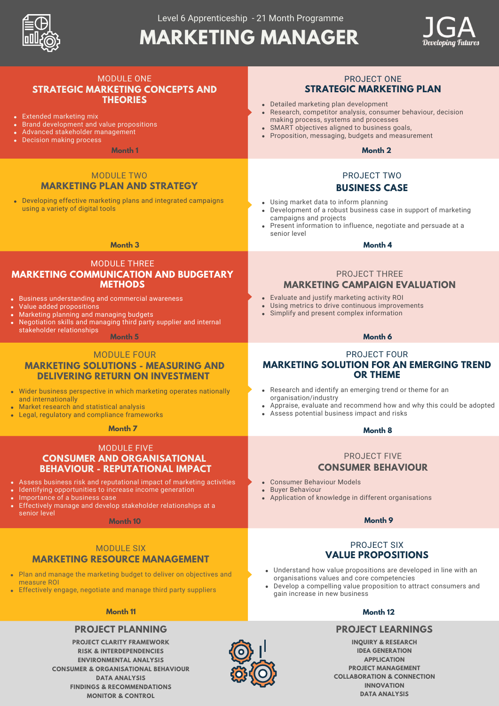

# **MARKETING MANAGER**



| <b>MODULE ONE</b><br><b>STRATEGIC MARKETING CONCEPTS AND</b><br><b>THEORIES</b><br>• Extended marketing mix<br>• Brand development and value propositions<br>• Advanced stakeholder management<br>• Decision making process<br>Month 1                                                                                                                              | <b>PROJECT ONE</b><br><b>STRATEGIC MARKETING PLAN</b><br>• Detailed marketing plan development<br>• Research, competitor analysis, consumer behaviour, decision<br>making process, systems and processes<br>• SMART objectives aligned to business goals,<br>• Proposition, messaging, budgets and measurement<br>Month 2 |
|---------------------------------------------------------------------------------------------------------------------------------------------------------------------------------------------------------------------------------------------------------------------------------------------------------------------------------------------------------------------|---------------------------------------------------------------------------------------------------------------------------------------------------------------------------------------------------------------------------------------------------------------------------------------------------------------------------|
|                                                                                                                                                                                                                                                                                                                                                                     |                                                                                                                                                                                                                                                                                                                           |
| <b>MODULE TWO</b><br><b>MARKETING PLAN AND STRATEGY</b>                                                                                                                                                                                                                                                                                                             | PROJECT TWO<br><b>BUSINESS CASE</b>                                                                                                                                                                                                                                                                                       |
| • Developing effective marketing plans and integrated campaigns<br>using a variety of digital tools                                                                                                                                                                                                                                                                 | • Using market data to inform planning<br>• Development of a robust business case in support of marketing<br>campaigns and projects<br>• Present information to influence, negotiate and persuade at a<br>senior level                                                                                                    |
| <b>Month 3</b>                                                                                                                                                                                                                                                                                                                                                      | Month 4                                                                                                                                                                                                                                                                                                                   |
| <b>MODULE THREE</b><br><b>MARKETING COMMUNICATION AND BUDGETARY</b><br><b>METHODS</b>                                                                                                                                                                                                                                                                               | <b>PROJECT THREE</b><br><b>MARKETING CAMPAIGN EVALUATION</b>                                                                                                                                                                                                                                                              |
| <b>Business understanding and commercial awareness</b><br>Value added propositions<br>Marketing planning and managing budgets<br>Negotiation skills and managing third party supplier and internal<br>stakeholder relationships                                                                                                                                     | • Evaluate and justify marketing activity ROI<br>• Using metrics to drive continuous improvements<br>• Simplify and present complex information                                                                                                                                                                           |
| Month <sub>5</sub>                                                                                                                                                                                                                                                                                                                                                  | Month 6                                                                                                                                                                                                                                                                                                                   |
| <b>MODULE FOUR</b><br><b>MARKETING SOLUTIONS - MEASURING AND</b><br><b>DELIVERING RETURN ON INVESTMENT</b>                                                                                                                                                                                                                                                          | <b>PROJECT FOUR</b><br><b>MARKETING SOLUTION FOR AN EMERGING TREND</b><br><b>OR THEME</b>                                                                                                                                                                                                                                 |
| Wider business perspective in which marketing operates nationally<br>and internationally<br>Market research and statistical analysis<br>Legal, regulatory and compliance frameworks                                                                                                                                                                                 | • Research and identify an emerging trend or theme for an<br>organisation/industry<br>• Appraise, evaluate and recommend how and why this could be adopted<br>• Assess potential business impact and risks                                                                                                                |
| Month 7                                                                                                                                                                                                                                                                                                                                                             | Month <sub>8</sub>                                                                                                                                                                                                                                                                                                        |
| <b>MODULE FIVE</b><br><b>CONSUMER AND ORGANISATIONAL</b><br><b>BEHAVIOUR - REPUTATIONAL IMPACT</b><br>Assess business risk and reputational impact of marketing activities<br>Identifying opportunities to increase income generation<br>Importance of a business case<br>Effectively manage and develop stakeholder relationships at a<br>senior level<br>Month 10 | <b>PROJECT FIVE</b><br><b>CONSUMER BEHAVIOUR</b><br>• Consumer Behaviour Models<br>• Buyer Behaviour<br>• Application of knowledge in different organisations<br>Month 9                                                                                                                                                  |
|                                                                                                                                                                                                                                                                                                                                                                     |                                                                                                                                                                                                                                                                                                                           |
| <b>MODULE SIX</b><br><b>MARKETING RESOURCE MANAGEMENT</b><br>Plan and manage the marketing budget to deliver on objectives and<br>measure ROI<br>Effectively engage, negotiate and manage third party suppliers                                                                                                                                                     | <b>PROJECT SIX</b><br><b>VALUE PROPOSITIONS</b><br>• Understand how value propositions are developed in line with an<br>organisations values and core competencies<br>• Develop a compelling value proposition to attract consumers and<br>gain increase in new business                                                  |
| <b>Month 11</b>                                                                                                                                                                                                                                                                                                                                                     | Month <sub>12</sub>                                                                                                                                                                                                                                                                                                       |
| <b>PROJECT PLANNING</b><br><b>PROJECT CLARITY FRAMEWORK</b><br><b>RISK &amp; INTERDEPENDENCIES</b><br><b>ENVIRONMENTAL ANALYSIS</b>                                                                                                                                                                                                                                 | <b>PROJECT LEARNINGS</b><br><b>INQUIRY &amp; RESEARCH</b><br><b>IDEA GENERATION</b><br><b>APPLICATION</b>                                                                                                                                                                                                                 |

**RISK & INTERDEPENDENCIES ENVIRONMENTAL ANALYSIS CONSUMER & ORGANISATIONAL BEHAVIOUR DATA ANALYSIS FINDINGS & RECOMMENDATIONS MONITOR & CONTROL**



**PROJECT MANAGEMENT COLLABORATION & CONNECTION INNOVATION DATA ANALYSIS**